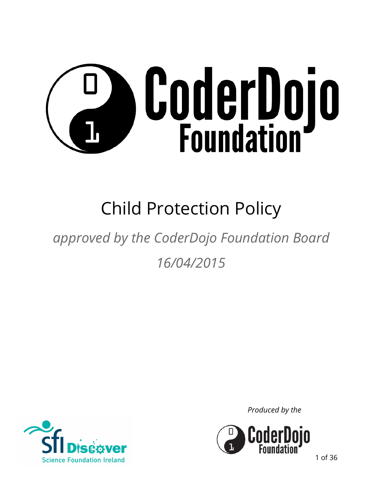

# Child Protection Policy

# *approved by the CoderDojo Foundation Board 16/04/2015*



*Produced by the*



1 of 36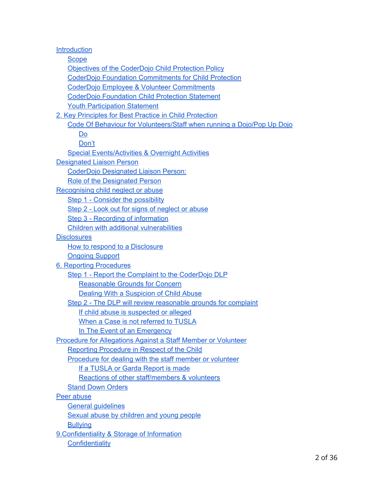**[Introduction](#page-3-0) [Scope](#page-3-1)** [Objectives of the CoderDojo](#page-3-2) Child Protection Policy CoderDojo Foundation [Commitments for Child](#page-3-3) Protection CoderDojo Employee [& Volunteer Commitments](#page-4-0) [CoderDojo Foundation](#page-4-1) Child Protection Statement Youth Participation Statement [2. Key Principles for Best](#page-5-0) Practice in Child Protection [Code Of Behaviour for Volunteers/Staff](#page-5-1) when running a Dojo/Pop Up Dojo [Do](#page-6-0) [Don't](#page-6-1) [Special Events/Activities & Overnight](#page-7-0) Activities [Designated Liaison Person](#page-7-1) [CoderDojo Designated](#page-7-2) Liaison Person: [Role of the Designated](#page-7-3) Person Recognising child neglect or abuse [Step 1 - Consider](#page-9-0) the possibility [Step 2 - Look out for signs of](#page-9-1) neglect or abuse [Step 3 - Recording](#page-10-0) of information [Children with additional](#page-10-1) vulnerabilities **[Disclosures](#page-10-2)** [How to respond to](#page-10-3) a Disclosure [Ongoing Support](#page-11-0) [6. Reporting Procedures](#page-12-0) [Step 1 - Report the](#page-14-0) Complaint to the CoderDojo DLP [Reasonable Grounds for Concern](#page-14-1) [Dealing With a Suspicion](#page-14-2) of Child Abuse Step 2 - The DLP will review reasonable [grounds for complaint](#page-15-0) [If child abuse is suspected](#page-15-1) or alleged [When a Case is not](#page-15-2) referred to TUSLA [In The Event of](#page-15-3) an Emergency [Procedure for Allegations Against](#page-16-0) a Staff Member or Volunteer [Reporting Procedure](#page-16-1) in Respect of the Child [Procedure for dealing](#page-16-2) with the staff member or volunteer [If a TUSLA or Garda](#page-17-0) Report is made [Reactions of other staff/members & volunteers](#page-18-0) **[Stand Down Orders](#page-18-1)** [Peer abuse](#page-19-0) [General guidelines](#page-20-0) [Sexual abuse by children](#page-21-0) and young people **[Bullying](#page-22-0)** [9.Confidentiality & Storage](#page-22-1) of Information **[Confidentiality](#page-23-0)**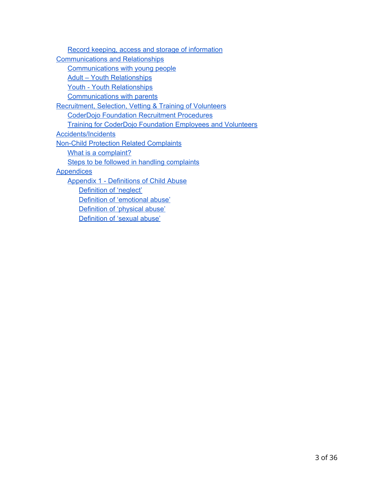Record keeping, access and storage of information [Communications and Relationships](#page-23-1) [Communications with](#page-24-0) young people [Adult – Youth Relationships](#page-24-1) [Youth - Youth Relationships](#page-24-2) [Communications with](#page-25-0) parents [Recruitment, Selection,](#page-25-1) Vetting & Training of Volunteers [CoderDojo Foundation](#page-26-0) Recruitment Procedures [Training for CoderDojo](#page-26-1) Foundation Employees and Volunteers [Accidents/Incidents](#page-27-0) [Non-Child Protection Related](#page-27-1) Complaints [What is a complaint?](#page-28-0) [Steps to be followed](#page-28-1) in handling complaints **[Appendices](#page-29-0)** [Appendix 1 - Definitions of](#page-29-1) Child Abuse [Definition of 'neglect'](#page-29-2) [Definition of 'emotional](#page-30-0) abuse' [Definition of 'physical](#page-31-0) abuse'

[Definition of 'sexual](#page-31-1) abuse'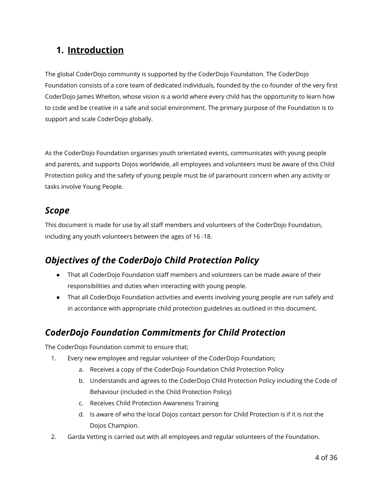## <span id="page-3-0"></span>**1. Introduction**

The global CoderDojo community is supported by the CoderDojo Foundation. The CoderDojo Foundation consists of a core team of dedicated individuals, founded by the co-founder of the very first CoderDojo James Whelton, whose vision is a world where every child has the opportunity to learn how to code and be creative in a safe and social environment. The primary purpose of the Foundation is to support and scale CoderDojo globally.

As the CoderDojo Foundation organises youth orientated events, communicates with young people and parents, and supports Dojos worldwide, all employees and volunteers must be aware of this Child Protection policy and the safety of young people must be of paramount concern when any activity or tasks involve Young People.

#### <span id="page-3-1"></span>*Scope*

This document is made for use by all staff members and volunteers of the CoderDojo Foundation, including any youth volunteers between the ages of 16 -18.

# <span id="page-3-2"></span>*Objectives of the CoderDojo Child Protection Policy*

- That all CoderDojo Foundation staff members and volunteers can be made aware of their responsibilities and duties when interacting with young people.
- That all CoderDojo Foundation activities and events involving young people are run safely and in accordance with appropriate child protection guidelines as outlined in this document.

# <span id="page-3-3"></span>*CoderDojo Foundation Commitments for Child Protection*

The CoderDojo Foundation commit to ensure that;

- 1. Every new employee and regular volunteer of the CoderDojo Foundation;
	- a. Receives a copy of the CoderDojo Foundation Child Protection Policy
	- b. Understands and agrees to the CoderDojo Child Protection Policy including the Code of Behaviour (included in the Child Protection Policy)
	- c. Receives Child Protection Awareness Training
	- d. Is aware of who the local Dojos contact person for Child Protection is if it is not the Dojos Champion.
- 2. Garda Vetting is carried out with all employees and regular volunteers of the Foundation.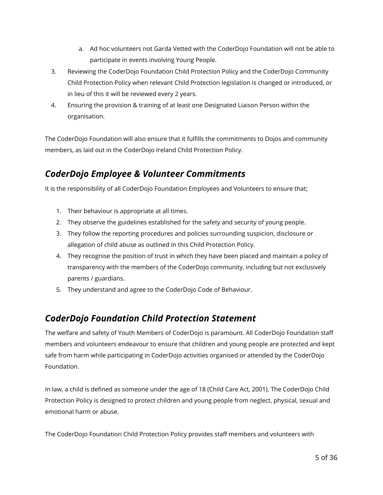- a. Ad hoc volunteers not Garda Vetted with the CoderDojo Foundation will not be able to participate in events involving Young People.
- 3. Reviewing the CoderDojo Foundation Child Protection Policy and the CoderDojo Community Child Protection Policy when relevant Child Protection legislation is changed or introduced, or in lieu of this it will be reviewed every 2 years.
- 4. Ensuring the provision & training of at least one Designated Liaison Person within the organisation.

The CoderDojo Foundation will also ensure that it fulfills the commitments to Dojos and community members, as laid out in the CoderDojo Ireland Child Protection Policy.

# <span id="page-4-0"></span>*CoderDojo Employee & Volunteer Commitments*

It is the responsibility of all CoderDojo Foundation Employees and Volunteers to ensure that;

- 1. Their behaviour is appropriate at all times.
- 2. They observe the guidelines established for the safety and security of young people.
- 3. They follow the reporting procedures and policies surrounding suspicion, disclosure or allegation of child abuse as outlined in this Child Protection Policy.
- 4. They recognise the position of trust in which they have been placed and maintain a policy of transparency with the members of the CoderDojo community, including but not exclusively parents / guardians.
- 5. They understand and agree to the CoderDojo Code of Behaviour.

#### <span id="page-4-1"></span>*CoderDojo Foundation Child Protection Statement*

The welfare and safety of Youth Members of CoderDojo is paramount. All CoderDojo Foundation staff members and volunteers endeavour to ensure that children and young people are protected and kept safe from harm while participating in CoderDojo activities organised or attended by the CoderDojo Foundation.

In law, a child is defined as someone under the age of 18 (Child Care Act, 2001). The CoderDojo Child Protection Policy is designed to protect children and young people from neglect, physical, sexual and emotional harm or abuse.

The CoderDojo Foundation Child Protection Policy provides staff members and volunteers with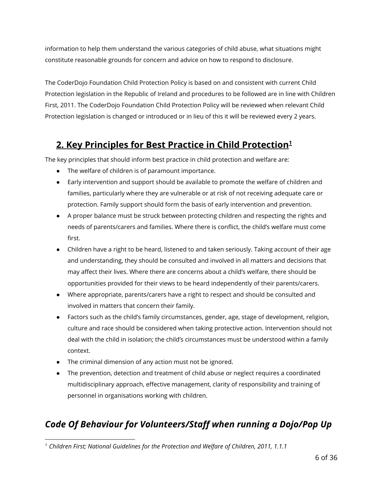information to help them understand the various categories of child abuse, what situations might constitute reasonable grounds for concern and advice on how to respond to disclosure.

The CoderDojo Foundation Child Protection Policy is based on and consistent with current Child Protection legislation in the Republic of Ireland and procedures to be followed are in line with Children First, 2011. The CoderDojo Foundation Child Protection Policy will be reviewed when relevant Child Protection legislation is changed or introduced or in lieu of this it will be reviewed every 2 years.

# <span id="page-5-0"></span>**2. Key Principles for Best Practice in Child Protection<sup>1</sup>**

The key principles that should inform best practice in child protection and welfare are:

- The welfare of children is of paramount importance.
- Early intervention and support should be available to promote the welfare of children and families, particularly where they are vulnerable or at risk of not receiving adequate care or protection. Family support should form the basis of early intervention and prevention.
- A proper balance must be struck between protecting children and respecting the rights and needs of parents/carers and families. Where there is conflict, the child's welfare must come first.
- Children have a right to be heard, listened to and taken seriously. Taking account of their age and understanding, they should be consulted and involved in all matters and decisions that may affect their lives. Where there are concerns about a child's welfare, there should be opportunities provided for their views to be heard independently of their parents/carers.
- Where appropriate, parents/carers have a right to respect and should be consulted and involved in matters that concern their family.
- Factors such as the child's family circumstances, gender, age, stage of development, religion, culture and race should be considered when taking protective action. Intervention should not deal with the child in isolation; the child's circumstances must be understood within a family context.
- The criminal dimension of any action must not be ignored.
- The prevention, detection and treatment of child abuse or neglect requires a coordinated multidisciplinary approach, effective management, clarity of responsibility and training of personnel in organisations working with children.

# <span id="page-5-1"></span>*Code Of Behaviour for Volunteers/Staff when running a Dojo/Pop Up*

<sup>1</sup> *Children First; National Guidelines for the Protection and Welfare of Children, 2011, 1.1.1*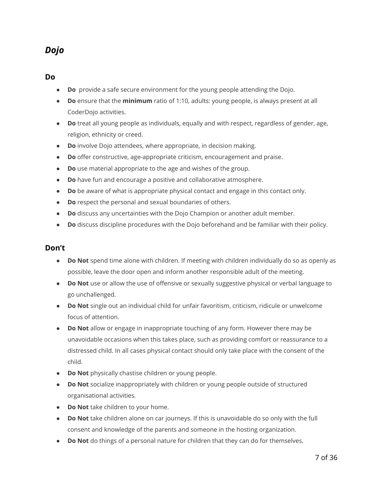#### *Dojo*

#### <span id="page-6-0"></span>**Do**

- **Do**  provide a safe secure environment for the young people attending the Dojo.
- **Do** ensure that the **minimum** ratio of 1:10, adults: young people, is always present at all CoderDojo activities.
- **Do** treat all young people as individuals, equally and with respect, regardless of gender, age, religion, ethnicity or creed.
- **Do** involve Dojo attendees, where appropriate, in decision making.
- **Do** offer constructive, age-appropriate criticism, encouragement and praise.
- **Do** use material appropriate to the age and wishes of the group.
- **Do** have fun and encourage a positive and collaborative atmosphere.
- **Do** be aware of what is appropriate physical contact and engage in this contact only.
- **Do** respect the personal and sexual boundaries of others.
- **Do** discuss any uncertainties with the Dojo Champion or another adult member.
- **Do** discuss discipline procedures with the Dojo beforehand and be familiar with their policy.

#### <span id="page-6-1"></span>**Don't**

- **Do Not** spend time alone with children. If meeting with children individually do so as openly as possible, leave the door open and inform another responsible adult of the meeting.
- **Do Not** use or allow the use of offensive or sexually suggestive physical or verbal language to go unchallenged.
- **Do Not** single out an individual child for unfair favoritism, criticism, ridicule or unwelcome focus of attention.
- **Do Not** allow or engage in inappropriate touching of any form. However there may be unavoidable occasions when this takes place, such as providing comfort or reassurance to a distressed child. In all cases physical contact should only take place with the consent of the child.
- **Do Not** physically chastise children or young people.
- **Do Not** socialize inappropriately with children or young people outside of structured organisational activities.
- **Do Not** take children to your home.
- **Do Not** take children alone on car journeys. If this is unavoidable do so only with the full consent and knowledge of the parents and someone in the hosting organization.
- **Do Not** do things of a personal nature for children that they can do for themselves.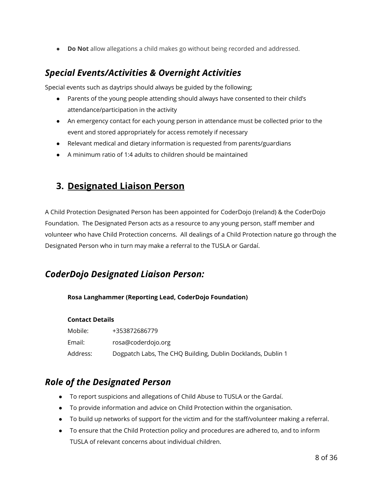● **Do Not** allow allegations a child makes go without being recorded and addressed.

#### <span id="page-7-0"></span>*Special Events/Activities & Overnight Activities*

Special events such as daytrips should always be guided by the following;

- Parents of the young people attending should always have consented to their child's attendance/participation in the activity
- An emergency contact for each young person in attendance must be collected prior to the event and stored appropriately for access remotely if necessary
- Relevant medical and dietary information is requested from parents/guardians
- A minimum ratio of 1:4 adults to children should be maintained

#### <span id="page-7-1"></span>**3. Designated Liaison Person**

A Child Protection Designated Person has been appointed for CoderDojo (Ireland) & the CoderDojo Foundation. The Designated Person acts as a resource to any young person, staff member and volunteer who have Child Protection concerns. All dealings of a Child Protection nature go through the Designated Person who in turn may make a referral to the TUSLA or Gardaí.

#### <span id="page-7-2"></span>*CoderDojo Designated Liaison Person:*

**Rosa Langhammer (Reporting Lead, CoderDojo Foundation)**

#### **Contact Details**

| Mobile:  | +353872686779                                               |
|----------|-------------------------------------------------------------|
| Email:   | rosa@coderdojo.org                                          |
| Address: | Dogpatch Labs, The CHQ Building, Dublin Docklands, Dublin 1 |

#### <span id="page-7-3"></span>*Role of the Designated Person*

- To report suspicions and allegations of Child Abuse to TUSLA or the Gardaí.
- To provide information and advice on Child Protection within the organisation.
- To build up networks of support for the victim and for the staff/volunteer making a referral.
- To ensure that the Child Protection policy and procedures are adhered to, and to inform TUSLA of relevant concerns about individual children.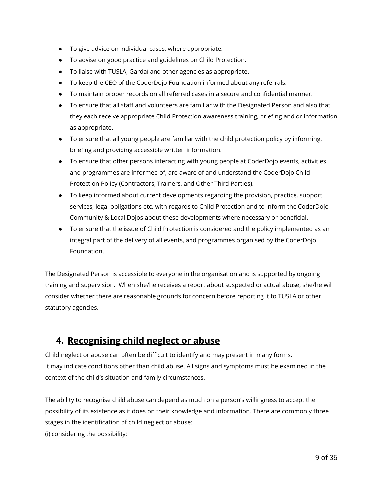- To give advice on individual cases, where appropriate.
- To advise on good practice and guidelines on Child Protection.
- To liaise with TUSLA, Gardaí and other agencies as appropriate.
- To keep the CEO of the CoderDojo Foundation informed about any referrals.
- To maintain proper records on all referred cases in a secure and confidential manner.
- To ensure that all staff and volunteers are familiar with the Designated Person and also that they each receive appropriate Child Protection awareness training, briefing and or information as appropriate.
- To ensure that all young people are familiar with the child protection policy by informing, briefing and providing accessible written information.
- To ensure that other persons interacting with young people at CoderDojo events, activities and programmes are informed of, are aware of and understand the CoderDojo Child Protection Policy (Contractors, Trainers, and Other Third Parties).
- To keep informed about current developments regarding the provision, practice, support services, legal obligations etc. with regards to Child Protection and to inform the CoderDojo Community & Local Dojos about these developments where necessary or beneficial.
- To ensure that the issue of Child Protection is considered and the policy implemented as an integral part of the delivery of all events, and programmes organised by the CoderDojo Foundation.

The Designated Person is accessible to everyone in the organisation and is supported by ongoing training and supervision. When she/he receives a report about suspected or actual abuse, she/he will consider whether there are reasonable grounds for concern before reporting it to TUSLA or other statutory agencies.

#### **4. Recognising child neglect or abuse**

Child neglect or abuse can often be difficult to identify and may present in many forms. It may indicate conditions other than child abuse. All signs and symptoms must be examined in the context of the child's situation and family circumstances.

The ability to recognise child abuse can depend as much on a person's willingness to accept the possibility of its existence as it does on their knowledge and information. There are commonly three stages in the identification of child neglect or abuse: (i) considering the possibility;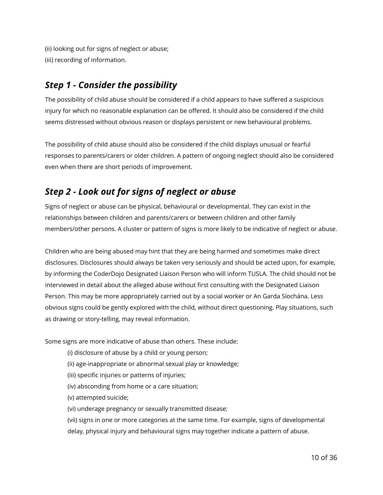(ii) looking out for signs of neglect or abuse; (iii) recording of information.

### <span id="page-9-0"></span>*Step 1 - Consider the possibility*

The possibility of child abuse should be considered if a child appears to have suffered a suspicious injury for which no reasonable explanation can be offered. It should also be considered if the child seems distressed without obvious reason or displays persistent or new behavioural problems.

The possibility of child abuse should also be considered if the child displays unusual or fearful responses to parents/carers or older children. A pattern of ongoing neglect should also be considered even when there are short periods of improvement.

# <span id="page-9-1"></span>*Step 2 - Look out for signs of neglect or abuse*

Signs of neglect or abuse can be physical, behavioural or developmental. They can exist in the relationships between children and parents/carers or between children and other family members/other persons. A cluster or pattern of signs is more likely to be indicative of neglect or abuse.

Children who are being abused may hint that they are being harmed and sometimes make direct disclosures. Disclosures should always be taken very seriously and should be acted upon, for example, by informing the CoderDojo Designated Liaison Person who will inform TUSLA. The child should not be interviewed in detail about the alleged abuse without first consulting with the Designated Liaison Person. This may be more appropriately carried out by a social worker or An Garda Síochána. Less obvious signs could be gently explored with the child, without direct questioning. Play situations, such as drawing or story-telling, may reveal information.

Some signs are more indicative of abuse than others. These include:

- (i) disclosure of abuse by a child or young person;
- (ii) age-inappropriate or abnormal sexual play or knowledge;
- (iii) specific injuries or patterns of injuries;
- (iv) absconding from home or a care situation;
- (v) attempted suicide;
- (vi) underage pregnancy or sexually transmitted disease;

(vii) signs in one or more categories at the same time. For example, signs of developmental delay, physical injury and behavioural signs may together indicate a pattern of abuse.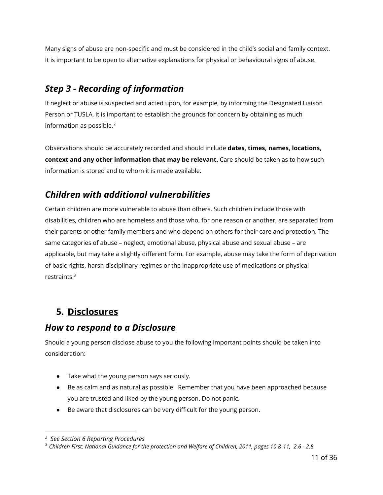Many signs of abuse are non-specific and must be considered in the child's social and family context. It is important to be open to alternative explanations for physical or behavioural signs of abuse.

# <span id="page-10-0"></span>*Step 3 - Recording of information*

If neglect or abuse is suspected and acted upon, for example, by informing the Designated Liaison Person or TUSLA, it is important to establish the grounds for concern by obtaining as much information as possible.<sup>2</sup>

Observations should be accurately recorded and should include **dates, times, names, locations, context and any other information that may be relevant.** Care should be taken as to how such information is stored and to whom it is made available.

# <span id="page-10-1"></span>*Children with additional vulnerabilities*

Certain children are more vulnerable to abuse than others. Such children include those with disabilities, children who are homeless and those who, for one reason or another, are separated from their parents or other family members and who depend on others for their care and protection. The same categories of abuse – neglect, emotional abuse, physical abuse and sexual abuse – are applicable, but may take a slightly different form. For example, abuse may take the form of deprivation of basic rights, harsh disciplinary regimes or the inappropriate use of medications or physical restraints.<sup>3</sup>

# <span id="page-10-2"></span>**5. Disclosures**

#### <span id="page-10-3"></span>*How to respond to a Disclosure*

Should a young person disclose abuse to you the following important points should be taken into consideration:

- Take what the young person says seriously.
- Be as calm and as natural as possible. Remember that you have been approached because you are trusted and liked by the young person. Do not panic.
- Be aware that disclosures can be very difficult for the young person.

*<sup>2</sup> See Section 6 Reporting Procedures*

<sup>3</sup> *Children First: National Guidance for the protection and Welfare of Children, 2011, pages 10 & 11, 2.6 - 2.8*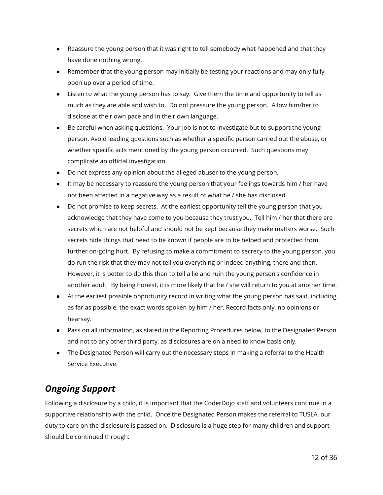- Reassure the young person that it was right to tell somebody what happened and that they have done nothing wrong.
- Remember that the young person may initially be testing your reactions and may only fully open up over a period of time.
- Listen to what the young person has to say. Give them the time and opportunity to tell as much as they are able and wish to. Do not pressure the young person. Allow him/her to disclose at their own pace and in their own language.
- Be careful when asking questions. Your job is not to investigate but to support the young person. Avoid leading questions such as whether a specific person carried out the abuse, or whether specific acts mentioned by the young person occurred. Such questions may complicate an official investigation.
- Do not express any opinion about the alleged abuser to the young person.
- It may be necessary to reassure the young person that your feelings towards him / her have not been affected in a negative way as a result of what he / she has disclosed
- Do not promise to keep secrets. At the earliest opportunity tell the young person that you acknowledge that they have come to you because they trust you. Tell him / her that there are secrets which are not helpful and should not be kept because they make matters worse. Such secrets hide things that need to be known if people are to be helped and protected from further on-going hurt. By refusing to make a commitment to secrecy to the young person, you do run the risk that they may not tell you everything or indeed anything, there and then. However, it is better to do this than to tell a lie and ruin the young person's confidence in another adult. By being honest, it is more likely that he / she will return to you at another time.
- At the earliest possible opportunity record in writing what the young person has said, including as far as possible, the exact words spoken by him / her. Record facts only, no opinions or hearsay.
- Pass on all information, as stated in the Reporting Procedures below, to the Designated Person and not to any other third party, as disclosures are on a need to know basis only.
- The Designated Person will carry out the necessary steps in making a referral to the Health Service Executive.

# <span id="page-11-0"></span>*Ongoing Support*

Following a disclosure by a child, it is important that the CoderDojo staff and volunteers continue in a supportive relationship with the child. Once the Designated Person makes the referral to TUSLA, our duty to care on the disclosure is passed on. Disclosure is a huge step for many children and support should be continued through: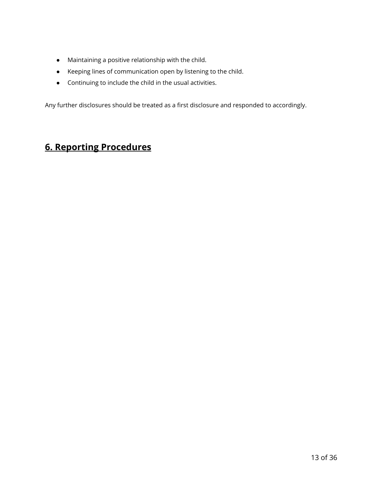- Maintaining a positive relationship with the child.
- Keeping lines of communication open by listening to the child.
- Continuing to include the child in the usual activities.

Any further disclosures should be treated as a first disclosure and responded to accordingly.

# <span id="page-12-0"></span>**6. Reporting Procedures**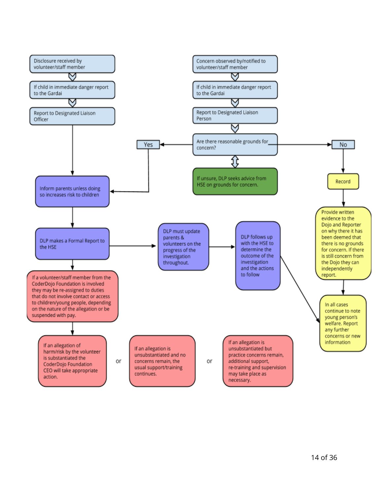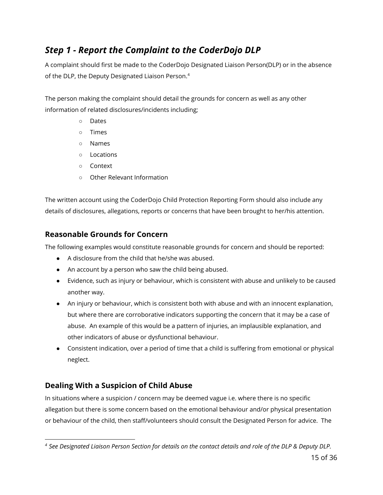# <span id="page-14-0"></span>*Step 1 - Report the Complaint to the CoderDojo DLP*

A complaint should first be made to the CoderDojo Designated Liaison Person(DLP) or in the absence of the DLP, the Deputy Designated Liaison Person.<sup>4</sup>

The person making the complaint should detail the grounds for concern as well as any other information of related disclosures/incidents including;

- Dates
- Times
- Names
- Locations
- Context
- Other Relevant Information

The written account using the CoderDojo Child Protection Reporting Form should also include any details of disclosures, allegations, reports or concerns that have been brought to her/his attention.

#### <span id="page-14-1"></span>**Reasonable Grounds for Concern**

The following examples would constitute reasonable grounds for concern and should be reported:

- A disclosure from the child that he/she was abused.
- An account by a person who saw the child being abused.
- Evidence, such as injury or behaviour, which is consistent with abuse and unlikely to be caused another way.
- An injury or behaviour, which is consistent both with abuse and with an innocent explanation, but where there are corroborative indicators supporting the concern that it may be a case of abuse. An example of this would be a pattern of injuries, an implausible explanation, and other indicators of abuse or dysfunctional behaviour.
- Consistent indication, over a period of time that a child is suffering from emotional or physical neglect.

#### <span id="page-14-2"></span>**Dealing With a Suspicion of Child Abuse**

In situations where a suspicion / concern may be deemed vague i.e. where there is no specific allegation but there is some concern based on the emotional behaviour and/or physical presentation or behaviour of the child, then staff/volunteers should consult the Designated Person for advice. The

*<sup>4</sup> See Designated Liaison Person Section for details on the contact details and role of the DLP & Deputy DLP.*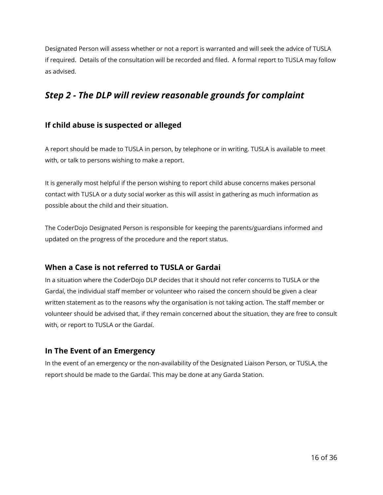Designated Person will assess whether or not a report is warranted and will seek the advice of TUSLA if required. Details of the consultation will be recorded and filed. A formal report to TUSLA may follow as advised.

#### <span id="page-15-0"></span>*Step 2 - The DLP will review reasonable grounds for complaint*

#### <span id="page-15-1"></span>**If child abuse is suspected or alleged**

A report should be made to TUSLA in person, by telephone or in writing. TUSLA is available to meet with, or talk to persons wishing to make a report.

It is generally most helpful if the person wishing to report child abuse concerns makes personal contact with TUSLA or a duty social worker as this will assist in gathering as much information as possible about the child and their situation.

The CoderDojo Designated Person is responsible for keeping the parents/guardians informed and updated on the progress of the procedure and the report status.

#### <span id="page-15-2"></span>**When a Case is not referred to TUSLA or Gardai**

In a situation where the CoderDojo DLP decides that it should not refer concerns to TUSLA or the Gardaí, the individual staff member or volunteer who raised the concern should be given a clear written statement as to the reasons why the organisation is not taking action. The staff member or volunteer should be advised that, if they remain concerned about the situation, they are free to consult with, or report to TUSLA or the Gardaí.

#### <span id="page-15-3"></span>**In The Event of an Emergency**

In the event of an emergency or the non-availability of the Designated Liaison Person, or TUSLA, the report should be made to the Gardaí. This may be done at any Garda Station.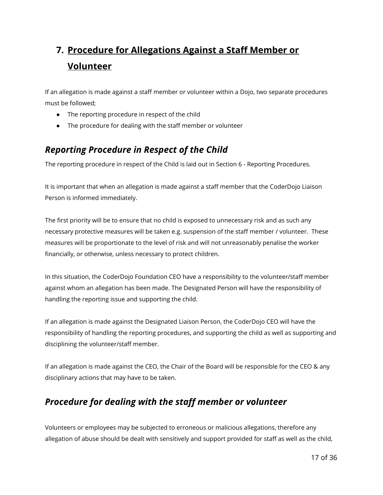# <span id="page-16-0"></span>**7. Procedure for Allegations Against a Staff Member or Volunteer**

If an allegation is made against a staff member or volunteer within a Dojo, two separate procedures must be followed;

- The reporting procedure in respect of the child
- The procedure for dealing with the staff member or volunteer

## <span id="page-16-1"></span>*Reporting Procedure in Respect of the Child*

The reporting procedure in respect of the Child is laid out in Section 6 - Reporting Procedures.

It is important that when an allegation is made against a staff member that the CoderDojo Liaison Person is informed immediately.

The first priority will be to ensure that no child is exposed to unnecessary risk and as such any necessary protective measures will be taken e.g. suspension of the staff member / volunteer. These measures will be proportionate to the level of risk and will not unreasonably penalise the worker financially, or otherwise, unless necessary to protect children.

In this situation, the CoderDojo Foundation CEO have a responsibility to the volunteer/staff member against whom an allegation has been made. The Designated Person will have the responsibility of handling the reporting issue and supporting the child.

If an allegation is made against the Designated Liaison Person, the CoderDojo CEO will have the responsibility of handling the reporting procedures, and supporting the child as well as supporting and disciplining the volunteer/staff member.

If an allegation is made against the CEO, the Chair of the Board will be responsible for the CEO & any disciplinary actions that may have to be taken.

#### <span id="page-16-2"></span>*Procedure for dealing with the staff member or volunteer*

Volunteers or employees may be subjected to erroneous or malicious allegations, therefore any allegation of abuse should be dealt with sensitively and support provided for staff as well as the child,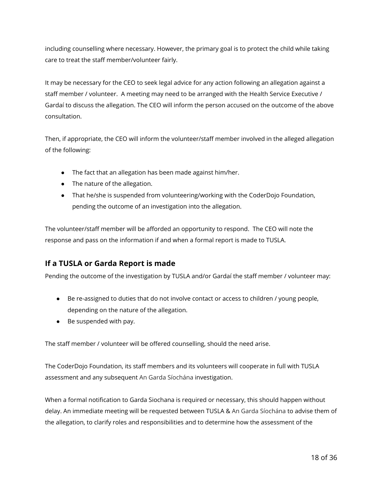including counselling where necessary. However, the primary goal is to protect the child while taking care to treat the staff member/volunteer fairly.

It may be necessary for the CEO to seek legal advice for any action following an allegation against a staff member / volunteer. A meeting may need to be arranged with the Health Service Executive / Gardaí to discuss the allegation. The CEO will inform the person accused on the outcome of the above consultation.

Then, if appropriate, the CEO will inform the volunteer/staff member involved in the alleged allegation of the following:

- The fact that an allegation has been made against him/her.
- The nature of the allegation.
- That he/she is suspended from volunteering/working with the CoderDojo Foundation, pending the outcome of an investigation into the allegation.

The volunteer/staff member will be afforded an opportunity to respond. The CEO will note the response and pass on the information if and when a formal report is made to TUSLA.

#### <span id="page-17-0"></span>**If a TUSLA or Garda Report is made**

Pending the outcome of the investigation by TUSLA and/or Gardaí the staff member / volunteer may:

- Be re-assigned to duties that do not involve contact or access to children / young people, depending on the nature of the allegation.
- Be suspended with pay.

The staff member / volunteer will be offered counselling, should the need arise.

The CoderDojo Foundation, its staff members and its volunteers will cooperate in full with TUSLA assessment and any subsequent An Garda Síochána investigation.

When a formal notification to Garda Siochana is required or necessary, this should happen without delay. An immediate meeting will be requested between TUSLA & An Garda Síochána to advise them of the allegation, to clarify roles and responsibilities and to determine how the assessment of the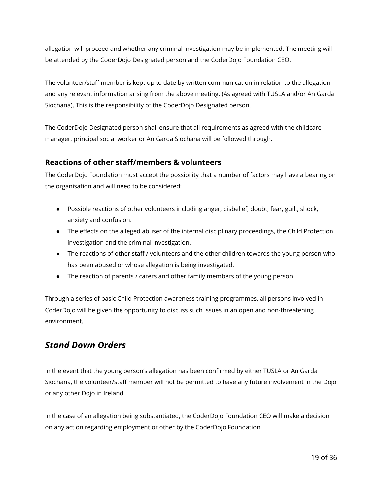allegation will proceed and whether any criminal investigation may be implemented. The meeting will be attended by the CoderDojo Designated person and the CoderDojo Foundation CEO.

The volunteer/staff member is kept up to date by written communication in relation to the allegation and any relevant information arising from the above meeting. (As agreed with TUSLA and/or An Garda Siochana), This is the responsibility of the CoderDojo Designated person.

The CoderDojo Designated person shall ensure that all requirements as agreed with the childcare manager, principal social worker or An Garda Siochana will be followed through.

#### <span id="page-18-0"></span>**Reactions of other staff/members & volunteers**

The CoderDojo Foundation must accept the possibility that a number of factors may have a bearing on the organisation and will need to be considered:

- Possible reactions of other volunteers including anger, disbelief, doubt, fear, guilt, shock, anxiety and confusion.
- The effects on the alleged abuser of the internal disciplinary proceedings, the Child Protection investigation and the criminal investigation.
- The reactions of other staff / volunteers and the other children towards the young person who has been abused or whose allegation is being investigated.
- The reaction of parents / carers and other family members of the young person.

Through a series of basic Child Protection awareness training programmes, all persons involved in CoderDojo will be given the opportunity to discuss such issues in an open and non-threatening environment.

#### <span id="page-18-1"></span>*Stand Down Orders*

In the event that the young person's allegation has been confirmed by either TUSLA or An Garda Siochana, the volunteer/staff member will not be permitted to have any future involvement in the Dojo or any other Dojo in Ireland.

In the case of an allegation being substantiated, the CoderDojo Foundation CEO will make a decision on any action regarding employment or other by the CoderDojo Foundation.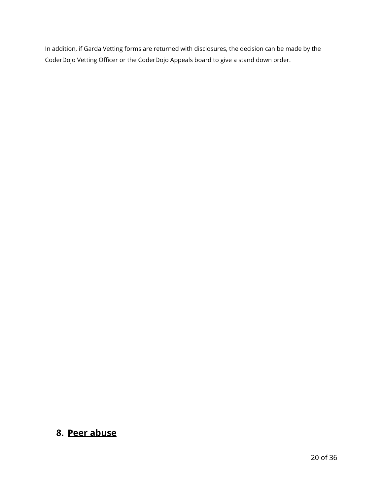In addition, if Garda Vetting forms are returned with disclosures, the decision can be made by the CoderDojo Vetting Officer or the CoderDojo Appeals board to give a stand down order.

#### <span id="page-19-0"></span>**8. Peer abuse**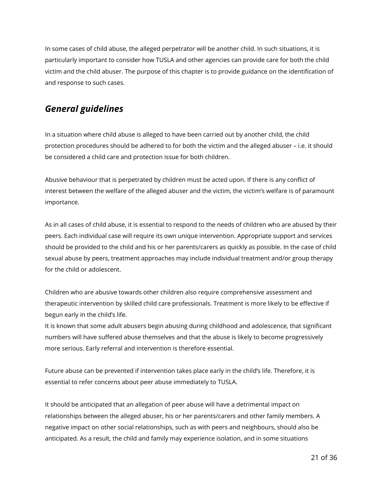In some cases of child abuse, the alleged perpetrator will be another child. In such situations, it is particularly important to consider how TUSLA and other agencies can provide care for both the child victim and the child abuser. The purpose of this chapter is to provide guidance on the identification of and response to such cases.

#### <span id="page-20-0"></span>*General guidelines*

In a situation where child abuse is alleged to have been carried out by another child, the child protection procedures should be adhered to for both the victim and the alleged abuser – i.e. it should be considered a child care and protection issue for both children.

Abusive behaviour that is perpetrated by children must be acted upon. If there is any conflict of interest between the welfare of the alleged abuser and the victim, the victim's welfare is of paramount importance.

As in all cases of child abuse, it is essential to respond to the needs of children who are abused by their peers. Each individual case will require its own unique intervention. Appropriate support and services should be provided to the child and his or her parents/carers as quickly as possible. In the case of child sexual abuse by peers, treatment approaches may include individual treatment and/or group therapy for the child or adolescent.

Children who are abusive towards other children also require comprehensive assessment and therapeutic intervention by skilled child care professionals. Treatment is more likely to be effective if begun early in the child's life.

It is known that some adult abusers begin abusing during childhood and adolescence, that significant numbers will have suffered abuse themselves and that the abuse is likely to become progressively more serious. Early referral and intervention is therefore essential.

Future abuse can be prevented if intervention takes place early in the child's life. Therefore, it is essential to refer concerns about peer abuse immediately to TUSLA.

It should be anticipated that an allegation of peer abuse will have a detrimental impact on relationships between the alleged abuser, his or her parents/carers and other family members. A negative impact on other social relationships, such as with peers and neighbours, should also be anticipated. As a result, the child and family may experience isolation, and in some situations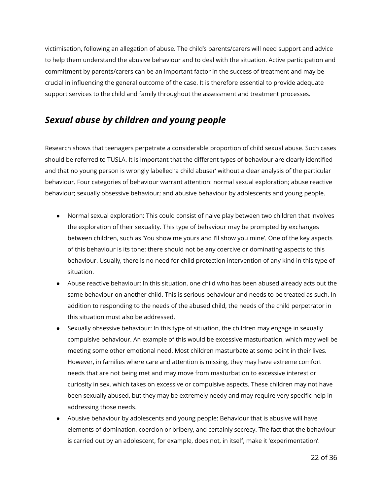victimisation, following an allegation of abuse. The child's parents/carers will need support and advice to help them understand the abusive behaviour and to deal with the situation. Active participation and commitment by parents/carers can be an important factor in the success of treatment and may be crucial in influencing the general outcome of the case. It is therefore essential to provide adequate support services to the child and family throughout the assessment and treatment processes.

#### <span id="page-21-0"></span>*Sexual abuse by children and young people*

Research shows that teenagers perpetrate a considerable proportion of child sexual abuse. Such cases should be referred to TUSLA. It is important that the different types of behaviour are clearly identified and that no young person is wrongly labelled 'a child abuser' without a clear analysis of the particular behaviour. Four categories of behaviour warrant attention: normal sexual exploration; abuse reactive behaviour; sexually obsessive behaviour; and abusive behaviour by adolescents and young people.

- Normal sexual exploration: This could consist of naive play between two children that involves the exploration of their sexuality. This type of behaviour may be prompted by exchanges between children, such as 'You show me yours and I'll show you mine'. One of the key aspects of this behaviour is its tone: there should not be any coercive or dominating aspects to this behaviour. Usually, there is no need for child protection intervention of any kind in this type of situation.
- Abuse reactive behaviour: In this situation, one child who has been abused already acts out the same behaviour on another child. This is serious behaviour and needs to be treated as such. In addition to responding to the needs of the abused child, the needs of the child perpetrator in this situation must also be addressed.
- Sexually obsessive behaviour: In this type of situation, the children may engage in sexually compulsive behaviour. An example of this would be excessive masturbation, which may well be meeting some other emotional need. Most children masturbate at some point in their lives. However, in families where care and attention is missing, they may have extreme comfort needs that are not being met and may move from masturbation to excessive interest or curiosity in sex, which takes on excessive or compulsive aspects. These children may not have been sexually abused, but they may be extremely needy and may require very specific help in addressing those needs.
- Abusive behaviour by adolescents and young people: Behaviour that is abusive will have elements of domination, coercion or bribery, and certainly secrecy. The fact that the behaviour is carried out by an adolescent, for example, does not, in itself, make it 'experimentation'.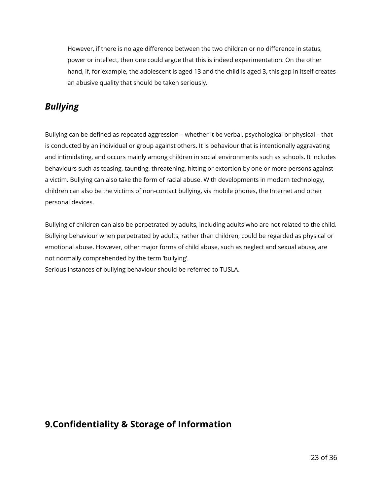However, if there is no age difference between the two children or no difference in status, power or intellect, then one could argue that this is indeed experimentation. On the other hand, if, for example, the adolescent is aged 13 and the child is aged 3, this gap in itself creates an abusive quality that should be taken seriously.

### <span id="page-22-0"></span>*Bullying*

Bullying can be defined as repeated aggression – whether it be verbal, psychological or physical – that is conducted by an individual or group against others. It is behaviour that is intentionally aggravating and intimidating, and occurs mainly among children in social environments such as schools. It includes behaviours such as teasing, taunting, threatening, hitting or extortion by one or more persons against a victim. Bullying can also take the form of racial abuse. With developments in modern technology, children can also be the victims of non-contact bullying, via mobile phones, the Internet and other personal devices.

Bullying of children can also be perpetrated by adults, including adults who are not related to the child. Bullying behaviour when perpetrated by adults, rather than children, could be regarded as physical or emotional abuse. However, other major forms of child abuse, such as neglect and sexual abuse, are not normally comprehended by the term 'bullying'.

Serious instances of bullying behaviour should be referred to TUSLA.

#### <span id="page-22-1"></span>**9.Confidentiality & Storage of Information**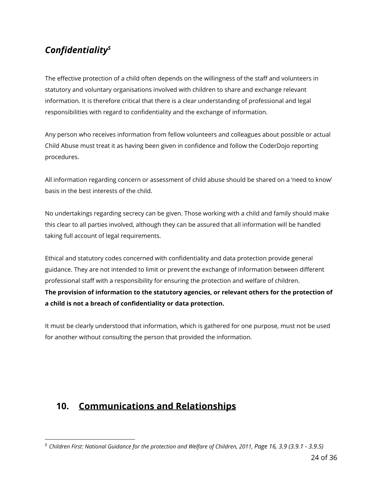# <span id="page-23-0"></span>*Confidentiality<sup>5</sup>*

The effective protection of a child often depends on the willingness of the staff and volunteers in statutory and voluntary organisations involved with children to share and exchange relevant information. It is therefore critical that there is a clear understanding of professional and legal responsibilities with regard to confidentiality and the exchange of information.

Any person who receives information from fellow volunteers and colleagues about possible or actual Child Abuse must treat it as having been given in confidence and follow the CoderDojo reporting procedures.

All information regarding concern or assessment of child abuse should be shared on a 'need to know' basis in the best interests of the child.

No undertakings regarding secrecy can be given. Those working with a child and family should make this clear to all parties involved, although they can be assured that all information will be handled taking full account of legal requirements.

Ethical and statutory codes concerned with confidentiality and data protection provide general guidance. They are not intended to limit or prevent the exchange of information between different professional staff with a responsibility for ensuring the protection and welfare of children. **The provision of information to the statutory agencies, or relevant others for the protection of a child is not a breach of confidentiality or data protection.**

It must be clearly understood that information, which is gathered for one purpose, must not be used for another without consulting the person that provided the information.

# <span id="page-23-1"></span>**10. Communications and Relationships**

<sup>5</sup> *Children First: National Guidance for the protection and Welfare of Children, 2011, Page 16, 3.9 (3.9.1 - 3.9.5)*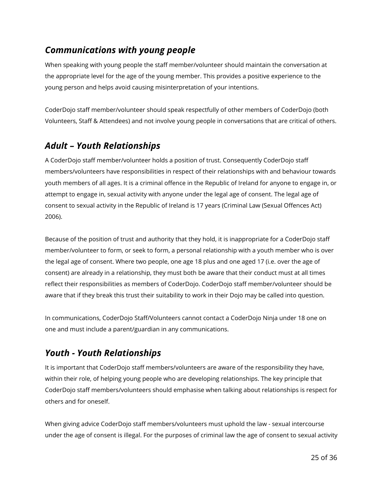#### <span id="page-24-0"></span>*Communications with young people*

When speaking with young people the staff member/volunteer should maintain the conversation at the appropriate level for the age of the young member. This provides a positive experience to the young person and helps avoid causing misinterpretation of your intentions.

CoderDojo staff member/volunteer should speak respectfully of other members of CoderDojo (both Volunteers, Staff & Attendees) and not involve young people in conversations that are critical of others.

#### <span id="page-24-1"></span>*Adult – Youth Relationships*

A CoderDojo staff member/volunteer holds a position of trust. Consequently CoderDojo staff members/volunteers have responsibilities in respect of their relationships with and behaviour towards youth members of all ages. It is a criminal offence in the Republic of Ireland for anyone to engage in, or attempt to engage in, sexual activity with anyone under the legal age of consent. The legal age of consent to sexual activity in the Republic of Ireland is 17 years (Criminal Law (Sexual Offences Act) 2006).

Because of the position of trust and authority that they hold, it is inappropriate for a CoderDojo staff member/volunteer to form, or seek to form, a personal relationship with a youth member who is over the legal age of consent. Where two people, one age 18 plus and one aged 17 (i.e. over the age of consent) are already in a relationship, they must both be aware that their conduct must at all times reflect their responsibilities as members of CoderDojo. CoderDojo staff member/volunteer should be aware that if they break this trust their suitability to work in their Dojo may be called into question.

In communications, CoderDojo Staff/Volunteers cannot contact a CoderDojo Ninja under 18 one on one and must include a parent/guardian in any communications.

# <span id="page-24-2"></span>*Youth - Youth Relationships*

It is important that CoderDojo staff members/volunteers are aware of the responsibility they have, within their role, of helping young people who are developing relationships. The key principle that CoderDojo staff members/volunteers should emphasise when talking about relationships is respect for others and for oneself.

When giving advice CoderDojo staff members/volunteers must uphold the law - sexual intercourse under the age of consent is illegal. For the purposes of criminal law the age of consent to sexual activity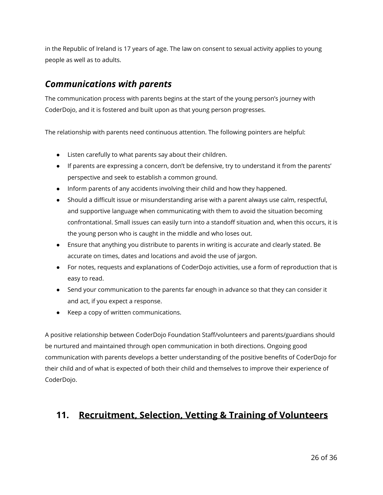in the Republic of Ireland is 17 years of age. The law on consent to sexual activity applies to young people as well as to adults.

#### <span id="page-25-0"></span>*Communications with parents*

The communication process with parents begins at the start of the young person's journey with CoderDojo, and it is fostered and built upon as that young person progresses.

The relationship with parents need continuous attention. The following pointers are helpful:

- Listen carefully to what parents say about their children.
- If parents are expressing a concern, don't be defensive, try to understand it from the parents' perspective and seek to establish a common ground.
- Inform parents of any accidents involving their child and how they happened.
- Should a difficult issue or misunderstanding arise with a parent always use calm, respectful, and supportive language when communicating with them to avoid the situation becoming confrontational. Small issues can easily turn into a standoff situation and, when this occurs, it is the young person who is caught in the middle and who loses out.
- Ensure that anything you distribute to parents in writing is accurate and clearly stated. Be accurate on times, dates and locations and avoid the use of jargon.
- For notes, requests and explanations of CoderDojo activities, use a form of reproduction that is easy to read.
- Send your communication to the parents far enough in advance so that they can consider it and act, if you expect a response.
- Keep a copy of written communications.

A positive relationship between CoderDojo Foundation Staff/volunteers and parents/guardians should be nurtured and maintained through open communication in both directions. Ongoing good communication with parents develops a better understanding of the positive benefits of CoderDojo for their child and of what is expected of both their child and themselves to improve their experience of CoderDojo.

# <span id="page-25-1"></span>**11. Recruitment, Selection, Vetting & Training of Volunteers**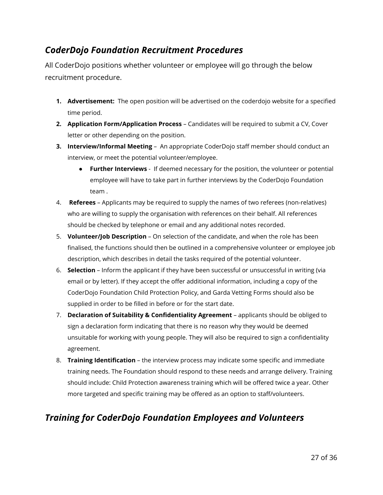#### <span id="page-26-0"></span>*CoderDojo Foundation Recruitment Procedures*

All CoderDojo positions whether volunteer or employee will go through the below recruitment procedure.

- **1. Advertisement:** The open position will be advertised on the coderdojo website for a specified time period.
- **2. Application Form/Application Process** Candidates will be required to submit a CV, Cover letter or other depending on the position.
- **3. Interview/Informal Meeting** An appropriate CoderDojo staff member should conduct an interview, or meet the potential volunteer/employee.
	- **● Further Interviews**  If deemed necessary for the position, the volunteer or potential employee will have to take part in further interviews by the CoderDojo Foundation team .
- 4. **Referees** Applicants may be required to supply the names of two referees (non-relatives) who are willing to supply the organisation with references on their behalf. All references should be checked by telephone or email and any additional notes recorded.
- 5. **Volunteer/Job Description** On selection of the candidate, and when the role has been finalised, the functions should then be outlined in a comprehensive volunteer or employee job description, which describes in detail the tasks required of the potential volunteer.
- 6. **Selection** Inform the applicant if they have been successful or unsuccessful in writing (via email or by letter). If they accept the offer additional information, including a copy of the CoderDojo Foundation Child Protection Policy, and Garda Vetting Forms should also be supplied in order to be filled in before or for the start date.
- 7. **Declaration of Suitability & Confidentiality Agreement** applicants should be obliged to sign a declaration form indicating that there is no reason why they would be deemed unsuitable for working with young people. They will also be required to sign a confidentiality agreement.
- 8. **Training Identification** the interview process may indicate some specific and immediate training needs. The Foundation should respond to these needs and arrange delivery. Training should include: Child Protection awareness training which will be offered twice a year. Other more targeted and specific training may be offered as an option to staff/volunteers.

#### <span id="page-26-1"></span>*Training for CoderDojo Foundation Employees and Volunteers*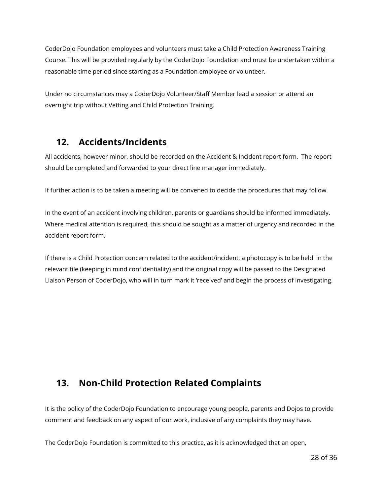CoderDojo Foundation employees and volunteers must take a Child Protection Awareness Training Course. This will be provided regularly by the CoderDojo Foundation and must be undertaken within a reasonable time period since starting as a Foundation employee or volunteer.

Under no circumstances may a CoderDojo Volunteer/Staff Member lead a session or attend an overnight trip without Vetting and Child Protection Training.

## <span id="page-27-0"></span>**12. Accidents/Incidents**

All accidents, however minor, should be recorded on the Accident & Incident report form. The report should be completed and forwarded to your direct line manager immediately.

If further action is to be taken a meeting will be convened to decide the procedures that may follow.

In the event of an accident involving children, parents or guardians should be informed immediately. Where medical attention is required, this should be sought as a matter of urgency and recorded in the accident report form.

If there is a Child Protection concern related to the accident/incident, a photocopy is to be held in the relevant file (keeping in mind confidentiality) and the original copy will be passed to the Designated Liaison Person of CoderDojo, who will in turn mark it 'received' and begin the process of investigating.

#### <span id="page-27-1"></span>**13. Non-Child Protection Related Complaints**

It is the policy of the CoderDojo Foundation to encourage young people, parents and Dojos to provide comment and feedback on any aspect of our work, inclusive of any complaints they may have.

The CoderDojo Foundation is committed to this practice, as it is acknowledged that an open,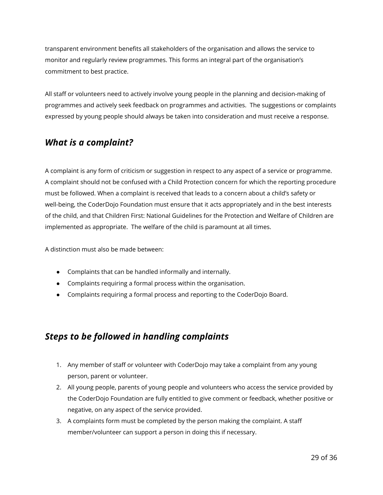transparent environment benefits all stakeholders of the organisation and allows the service to monitor and regularly review programmes. This forms an integral part of the organisation's commitment to best practice.

All staff or volunteers need to actively involve young people in the planning and decision-making of programmes and actively seek feedback on programmes and activities. The suggestions or complaints expressed by young people should always be taken into consideration and must receive a response.

#### <span id="page-28-0"></span>*What is a complaint?*

A complaint is any form of criticism or suggestion in respect to any aspect of a service or programme. A complaint should not be confused with a Child Protection concern for which the reporting procedure must be followed. When a complaint is received that leads to a concern about a child's safety or well-being, the CoderDojo Foundation must ensure that it acts appropriately and in the best interests of the child, and that Children First: National Guidelines for the Protection and Welfare of Children are implemented as appropriate. The welfare of the child is paramount at all times.

A distinction must also be made between:

- Complaints that can be handled informally and internally.
- Complaints requiring a formal process within the organisation.
- Complaints requiring a formal process and reporting to the CoderDojo Board.

#### <span id="page-28-1"></span>*Steps to be followed in handling complaints*

- 1. Any member of staff or volunteer with CoderDojo may take a complaint from any young person, parent or volunteer.
- 2. All young people, parents of young people and volunteers who access the service provided by the CoderDojo Foundation are fully entitled to give comment or feedback, whether positive or negative, on any aspect of the service provided.
- 3. A complaints form must be completed by the person making the complaint. A staff member/volunteer can support a person in doing this if necessary.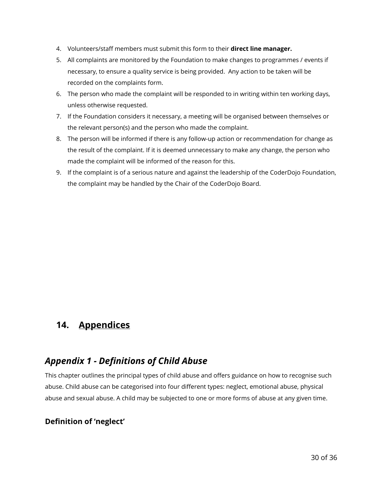- 4. Volunteers/staff members must submit this form to their **direct line manager.**
- 5. All complaints are monitored by the Foundation to make changes to programmes / events if necessary, to ensure a quality service is being provided. Any action to be taken will be recorded on the complaints form.
- 6. The person who made the complaint will be responded to in writing within ten working days, unless otherwise requested.
- 7. If the Foundation considers it necessary, a meeting will be organised between themselves or the relevant person(s) and the person who made the complaint.
- 8. The person will be informed if there is any follow-up action or recommendation for change as the result of the complaint. If it is deemed unnecessary to make any change, the person who made the complaint will be informed of the reason for this.
- 9. If the complaint is of a serious nature and against the leadership of the CoderDojo Foundation, the complaint may be handled by the Chair of the CoderDojo Board.

#### <span id="page-29-0"></span>**14. Appendices**

#### <span id="page-29-1"></span>*Appendix 1 - Definitions of Child Abuse*

This chapter outlines the principal types of child abuse and offers guidance on how to recognise such abuse. Child abuse can be categorised into four different types: neglect, emotional abuse, physical abuse and sexual abuse. A child may be subjected to one or more forms of abuse at any given time.

#### <span id="page-29-2"></span>**Definition of 'neglect'**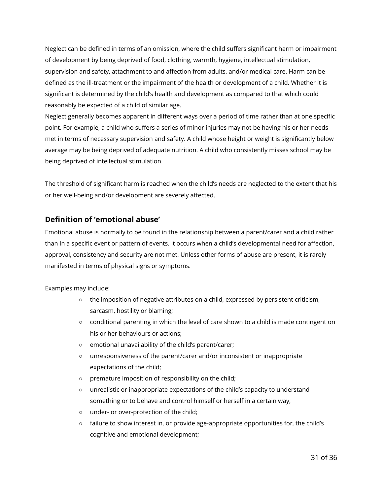Neglect can be defined in terms of an omission, where the child suffers significant harm or impairment of development by being deprived of food, clothing, warmth, hygiene, intellectual stimulation, supervision and safety, attachment to and affection from adults, and/or medical care. Harm can be defined as the ill-treatment or the impairment of the health or development of a child. Whether it is significant is determined by the child's health and development as compared to that which could reasonably be expected of a child of similar age.

Neglect generally becomes apparent in different ways over a period of time rather than at one specific point. For example, a child who suffers a series of minor injuries may not be having his or her needs met in terms of necessary supervision and safety. A child whose height or weight is significantly below average may be being deprived of adequate nutrition. A child who consistently misses school may be being deprived of intellectual stimulation.

The threshold of significant harm is reached when the child's needs are neglected to the extent that his or her well-being and/or development are severely affected.

#### <span id="page-30-0"></span>**Definition of 'emotional abuse'**

Emotional abuse is normally to be found in the relationship between a parent/carer and a child rather than in a specific event or pattern of events. It occurs when a child's developmental need for affection, approval, consistency and security are not met. Unless other forms of abuse are present, it is rarely manifested in terms of physical signs or symptoms.

Examples may include:

- $\circ$  the imposition of negative attributes on a child, expressed by persistent criticism, sarcasm, hostility or blaming;
- $\circ$  conditional parenting in which the level of care shown to a child is made contingent on his or her behaviours or actions;
- emotional unavailability of the child's parent/carer;
- unresponsiveness of the parent/carer and/or inconsistent or inappropriate expectations of the child;
- premature imposition of responsibility on the child;
- unrealistic or inappropriate expectations of the child's capacity to understand something or to behave and control himself or herself in a certain way;
- under- or over-protection of the child;
- failure to show interest in, or provide age-appropriate opportunities for, the child's cognitive and emotional development;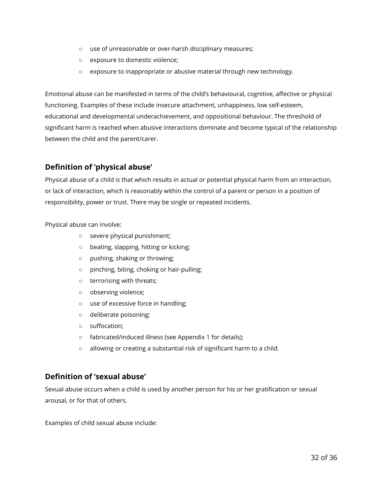- use of unreasonable or over-harsh disciplinary measures;
- exposure to domestic violence;
- exposure to inappropriate or abusive material through new technology.

Emotional abuse can be manifested in terms of the child's behavioural, cognitive, affective or physical functioning. Examples of these include insecure attachment, unhappiness, low self-esteem, educational and developmental underachievement, and oppositional behaviour. The threshold of significant harm is reached when abusive interactions dominate and become typical of the relationship between the child and the parent/carer.

#### <span id="page-31-0"></span>**Definition of 'physical abuse'**

Physical abuse of a child is that which results in actual or potential physical harm from an interaction, or lack of interaction, which is reasonably within the control of a parent or person in a position of responsibility, power or trust. There may be single or repeated incidents.

Physical abuse can involve:

- severe physical punishment;
- beating, slapping, hitting or kicking;
- pushing, shaking or throwing;
- pinching, biting, choking or hair-pulling;
- terrorising with threats;
- observing violence;
- use of excessive force in handling;
- deliberate poisoning;
- suffocation;
- fabricated/induced illness (see Appendix 1 for details);
- allowing or creating a substantial risk of significant harm to a child.

#### <span id="page-31-1"></span>**Definition of 'sexual abuse'**

Sexual abuse occurs when a child is used by another person for his or her gratification or sexual arousal, or for that of others.

Examples of child sexual abuse include: